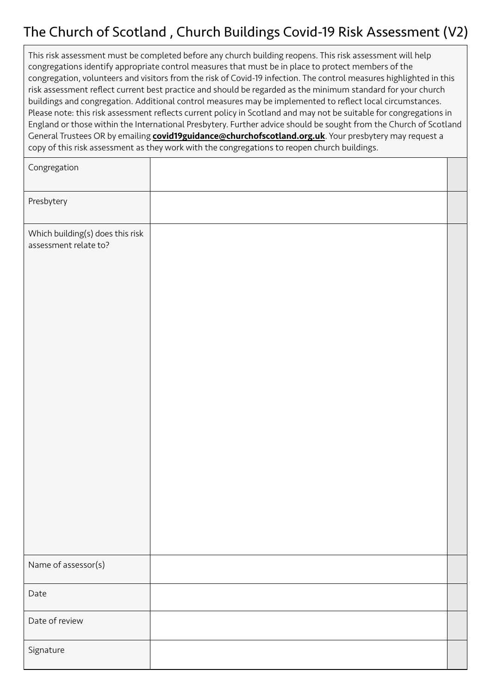# The Church of Scotland , Church Buildings Covid-19 Risk Assessment (V2)

| This risk assessment must be completed before any church building reopens. This risk assessment will help<br>congregations identify appropriate control measures that must be in place to protect members of the<br>congregation, volunteers and visitors from the risk of Covid-19 infection. The control measures highlighted in this<br>risk assessment reflect current best practice and should be regarded as the minimum standard for your church<br>buildings and congregation. Additional control measures may be implemented to reflect local circumstances.<br>Please note: this risk assessment reflects current policy in Scotland and may not be suitable for congregations in<br>England or those within the International Presbytery. Further advice should be sought from the Church of Scotland<br>General Trustees OR by emailing <b>covid19guidance@churchofscotland.org.uk</b> . Your presbytery may request a<br>copy of this risk assessment as they work with the congregations to reopen church buildings. |  |  |  |  |  |
|------------------------------------------------------------------------------------------------------------------------------------------------------------------------------------------------------------------------------------------------------------------------------------------------------------------------------------------------------------------------------------------------------------------------------------------------------------------------------------------------------------------------------------------------------------------------------------------------------------------------------------------------------------------------------------------------------------------------------------------------------------------------------------------------------------------------------------------------------------------------------------------------------------------------------------------------------------------------------------------------------------------------------------|--|--|--|--|--|
| Congregation                                                                                                                                                                                                                                                                                                                                                                                                                                                                                                                                                                                                                                                                                                                                                                                                                                                                                                                                                                                                                       |  |  |  |  |  |
| Presbytery                                                                                                                                                                                                                                                                                                                                                                                                                                                                                                                                                                                                                                                                                                                                                                                                                                                                                                                                                                                                                         |  |  |  |  |  |
| Which building(s) does this risk<br>assessment relate to?                                                                                                                                                                                                                                                                                                                                                                                                                                                                                                                                                                                                                                                                                                                                                                                                                                                                                                                                                                          |  |  |  |  |  |

| Name of assessor(s) |  |
|---------------------|--|
| Date                |  |
|                     |  |
| Date of review      |  |
| Signature           |  |
|                     |  |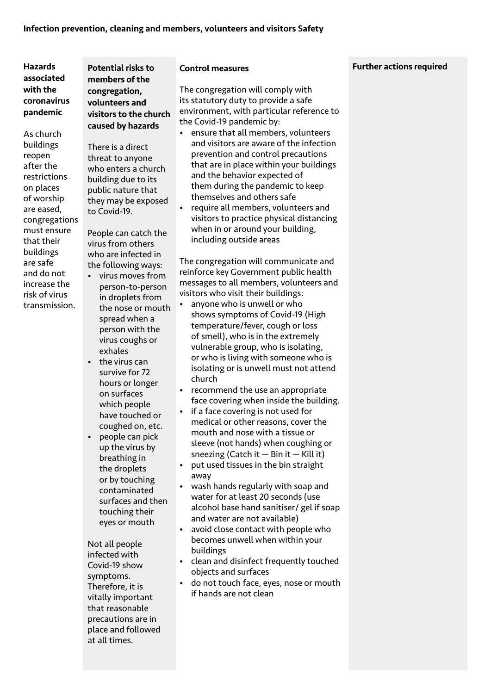As church buildings reopen after the restrictions on places of worship are eased, congregations must ensure that their buildings are safe and do not increase the risk of virus transmission.

Potential risks to members of the congregation, volunteers and visitors to the church caused by hazards

There is a direct threat to anyone who enters a church building due to its public nature that they may be exposed to Covid-19.

People can catch the virus from others who are infected in the following ways:

- virus moves from person-to-person in droplets from the nose or mouth spread when a person with the virus coughs or exhales
- the virus can survive for 72 hours or longer on surfaces which people have touched or coughed on, etc.
- people can pick up the virus by breathing in the droplets or by touching contaminated surfaces and then touching their eyes or mouth

Not all people infected with Covid-19 show symptoms. Therefore, it is vitally important that reasonable precautions are in place and followed at all times.

#### Control measures

The congregation will comply with its statutory duty to provide a safe environment, with particular reference to the Covid-19 pandemic by:

- ensure that all members, volunteers and visitors are aware of the infection prevention and control precautions that are in place within your buildings and the behavior expected of them during the pandemic to keep themselves and others safe
- require all members, volunteers and visitors to practice physical distancing when in or around your building, including outside areas

The congregation will communicate and reinforce key Government public health messages to all members, volunteers and visitors who visit their buildings:

- anyone who is unwell or who shows symptoms of Covid-19 (High temperature/fever, cough or loss of smell), who is in the extremely vulnerable group, who is isolating, or who is living with someone who is isolating or is unwell must not attend church
- recommend the use an appropriate face covering when inside the building.
- if a face covering is not used for medical or other reasons, cover the mouth and nose with a tissue or sleeve (not hands) when coughing or sneezing (Catch it  $-$  Bin it  $-$  Kill it)
- put used tissues in the bin straight away
- wash hands regularly with soap and water for at least 20 seconds (use alcohol base hand sanitiser/ gel if soap and water are not available)
- avoid close contact with people who becomes unwell when within your buildings
- clean and disinfect frequently touched objects and surfaces
- do not touch face, eyes, nose or mouth if hands are not clean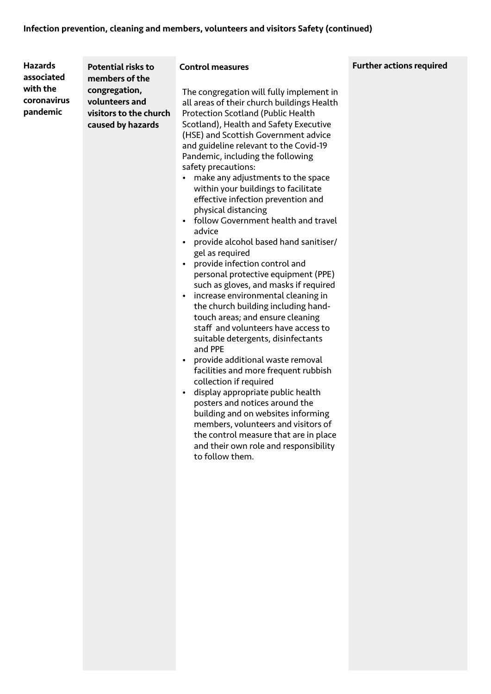| <b>Hazards</b>                                    | <b>Potential risks to</b>                                                                        | <b>Control measures</b>                                                                                                                                                                                                                                                                                                                                                                                                                                                                                                                                                                                                                                                                                                                                                                                                                                                                                                                                                                                                                                                                                                                                                                                                                                             | <b>Further actio</b> |
|---------------------------------------------------|--------------------------------------------------------------------------------------------------|---------------------------------------------------------------------------------------------------------------------------------------------------------------------------------------------------------------------------------------------------------------------------------------------------------------------------------------------------------------------------------------------------------------------------------------------------------------------------------------------------------------------------------------------------------------------------------------------------------------------------------------------------------------------------------------------------------------------------------------------------------------------------------------------------------------------------------------------------------------------------------------------------------------------------------------------------------------------------------------------------------------------------------------------------------------------------------------------------------------------------------------------------------------------------------------------------------------------------------------------------------------------|----------------------|
| associated<br>with the<br>coronavirus<br>pandemic | members of the<br>congregation,<br>volunteers and<br>visitors to the church<br>caused by hazards | The congregation will fully implement in<br>all areas of their church buildings Health<br>Protection Scotland (Public Health<br>Scotland), Health and Safety Executive<br>(HSE) and Scottish Government advice<br>and guideline relevant to the Covid-19<br>Pandemic, including the following<br>safety precautions:<br>make any adjustments to the space<br>within your buildings to facilitate<br>effective infection prevention and<br>physical distancing<br>follow Government health and travel<br>advice<br>provide alcohol based hand sanitiser/<br>gel as required<br>provide infection control and<br>personal protective equipment (PPE)<br>such as gloves, and masks if required<br>increase environmental cleaning in<br>the church building including hand-<br>touch areas; and ensure cleaning<br>staff and volunteers have access to<br>suitable detergents, disinfectants<br>and PPE<br>provide additional waste removal<br>facilities and more frequent rubbish<br>collection if required<br>display appropriate public health<br>posters and notices around the<br>building and on websites informing<br>members, volunteers and visitors of<br>the control measure that are in place<br>and their own role and responsibility<br>to follow them. |                      |

# ons required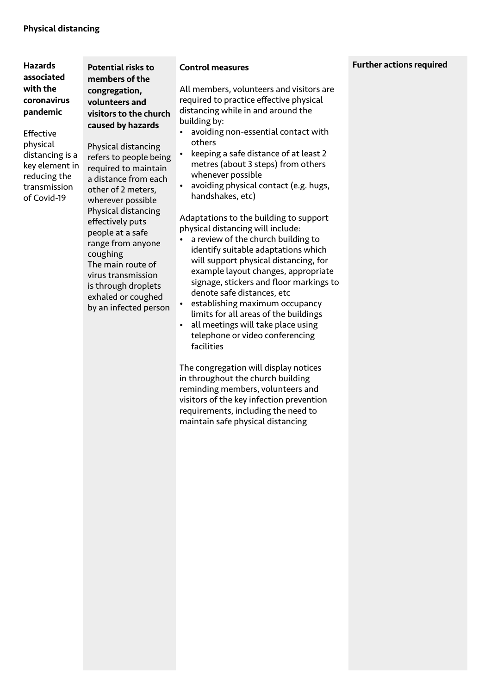Effective physical distancing is a key element in reducing the transmission of Covid-19

Potential risks to members of the congregation, volunteers and visitors to the church caused by hazards

Physical distancing refers to people being required to maintain a distance from each other of 2 meters, wherever possible Physical distancing effectively puts people at a safe range from anyone coughing The main route of virus transmission is through droplets exhaled or coughed by an infected person

#### Control measures

All members, volunteers and visitors are required to practice effective physical distancing while in and around the building by:

- avoiding non-essential contact with others
- keeping a safe distance of at least 2 metres (about 3 steps) from others whenever possible
- avoiding physical contact (e.g. hugs, handshakes, etc)

Adaptations to the building to support physical distancing will include:

- a review of the church building to identify suitable adaptations which will support physical distancing, for example layout changes, appropriate signage, stickers and floor markings to denote safe distances, etc
- establishing maximum occupancy limits for all areas of the buildings
- all meetings will take place using telephone or video conferencing facilities

The congregation will display notices in throughout the church building reminding members, volunteers and visitors of the key infection prevention requirements, including the need to maintain safe physical distancing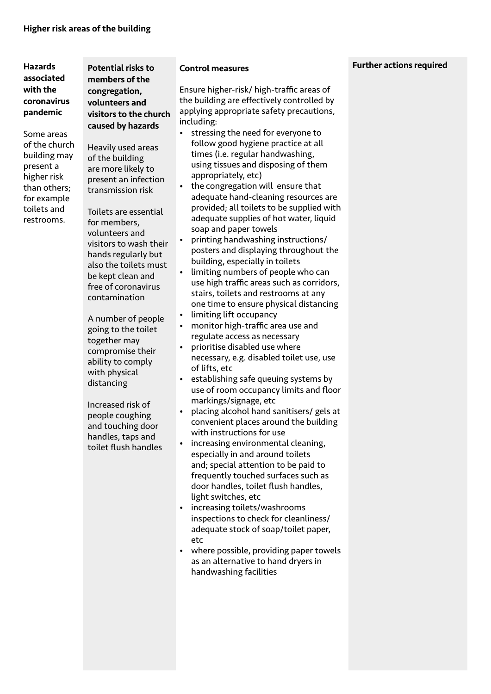Some areas of the church building may present a higher risk than others; for example toilets and restrooms.

Potential risks to members of the congregation, volunteers and visitors to the church caused by hazards

Heavily used areas of the building are more likely to present an infection transmission risk

Toilets are essential for members, volunteers and visitors to wash their hands regularly but also the toilets must be kept clean and free of coronavirus contamination

A number of people going to the toilet together may compromise their ability to comply with physical distancing

Increased risk of people coughing and touching door handles, taps and toilet flush handles

#### Control measures

Ensure higher-risk/ high-traffic areas of the building are effectively controlled by applying appropriate safety precautions, including:

- stressing the need for everyone to follow good hygiene practice at all times (i.e. regular handwashing, using tissues and disposing of them appropriately, etc)
- the congregation will ensure that adequate hand-cleaning resources are provided; all toilets to be supplied with adequate supplies of hot water, liquid soap and paper towels
- printing handwashing instructions/ posters and displaying throughout the building, especially in toilets
- limiting numbers of people who can use high traffic areas such as corridors, stairs, toilets and restrooms at any one time to ensure physical distancing
- limiting lift occupancy
- monitor high-traffic area use and regulate access as necessary
- prioritise disabled use where necessary, e.g. disabled toilet use, use of lifts, etc
- establishing safe queuing systems by use of room occupancy limits and floor markings/signage, etc
- placing alcohol hand sanitisers/ gels at convenient places around the building with instructions for use
- increasing environmental cleaning, especially in and around toilets and; special attention to be paid to frequently touched surfaces such as door handles, toilet flush handles, light switches, etc
- increasing toilets/washrooms inspections to check for cleanliness/ adequate stock of soap/toilet paper, etc
- where possible, providing paper towels as an alternative to hand dryers in handwashing facilities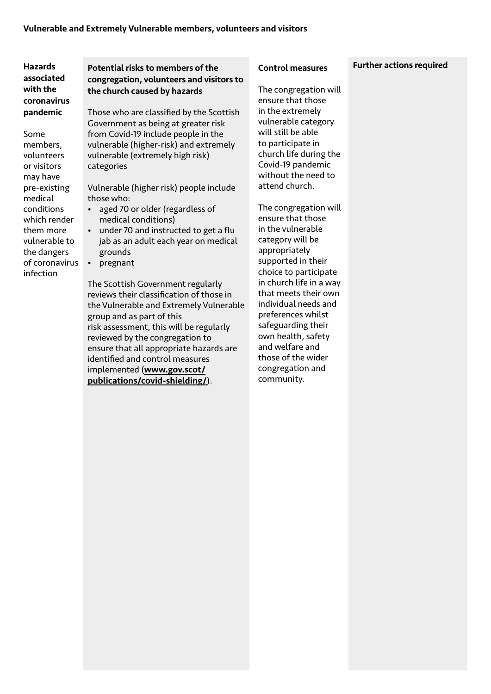Some members, volunteers or visitors may have pre-existing medical conditions which render them more vulnerable to the dangers of coronavirus infection

# Potential risks to members of the congregation, volunteers and visitors to the church caused by hazards

Those who are classified by the Scottish Government as being at greater risk from Covid-19 include people in the vulnerable (higher-risk) and extremely vulnerable (extremely high risk) categories

Vulnerable (higher risk) people include those who:

- aged 70 or older (regardless of medical conditions)
- under 70 and instructed to get a flu jab as an adult each year on medical grounds
- pregnant

The Scottish Government regularly reviews their classification of those in the Vulnerable and Extremely Vulnerable group and as part of this risk assessment, this will be regularly reviewed by the congregation to ensure that all appropriate hazards are identified and control measures implemented (www.gov.scot/ publications/covid-shielding/).

#### Control measures

The congregation will ensure that those in the extremely vulnerable category will still be able to participate in church life during the Covid-19 pandemic without the need to attend church.

The congregation will ensure that those in the vulnerable category will be appropriately supported in their choice to participate in church life in a way that meets their own individual needs and preferences whilst safeguarding their own health, safety and welfare and those of the wider congregation and community.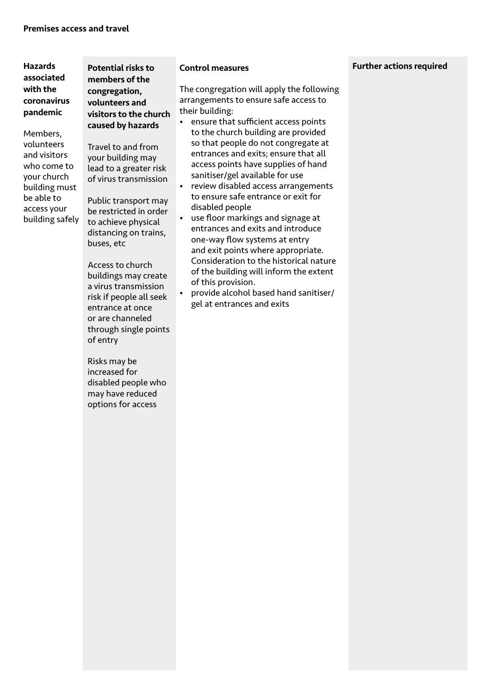Members, volunteers and visitors who come to your church building must be able to access your building safely Potential risks to members of the congregation, volunteers and visitors to the church caused by hazards

Travel to and from your building may lead to a greater risk of virus transmission

Public transport may be restricted in order to achieve physical distancing on trains, buses, etc

Access to church buildings may create a virus transmission risk if people all seek entrance at once or are channeled through single points of entry

Risks may be increased for disabled people who may have reduced options for access

#### Control measures

The congregation will apply the following arrangements to ensure safe access to their building:

- ensure that sufficient access points to the church building are provided so that people do not congregate at entrances and exits; ensure that all access points have supplies of hand sanitiser/gel available for use
- review disabled access arrangements to ensure safe entrance or exit for disabled people
- use floor markings and signage at entrances and exits and introduce one-way flow systems at entry and exit points where appropriate. Consideration to the historical nature of the building will inform the extent of this provision.
- provide alcohol based hand sanitiser/ gel at entrances and exits